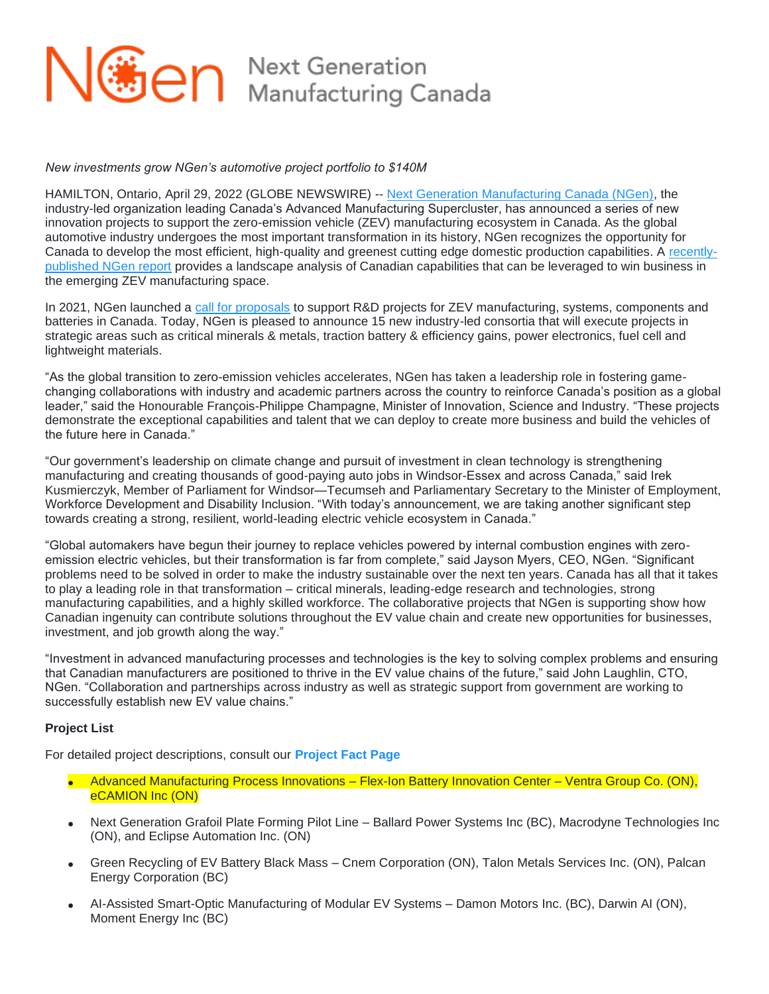

## *New investments grow NGen's automotive project portfolio to \$140M*

HAMILTON, Ontario, April 29, 2022 (GLOBE NEWSWIRE) -- [Next Generation Manufacturing Canada \(NGen\),](https://www.globenewswire.com/Tracker?data=N-Sp2JLLrzbXVMHyN4y0mmtZTcZWhPJexSmFvq4Pl8XcF24PGO4wsK7EJ_J-B8GVlI4L2y-Q5hYtWMN6JXomlVzFrAW_yY6YfRA7JvkgVjJ3unHzlNSBzn6xQ-PfvxVL) the industry-led organization leading Canada's Advanced Manufacturing Supercluster, has announced a series of new innovation projects to support the zero-emission vehicle (ZEV) manufacturing ecosystem in Canada. As the global automotive industry undergoes the most important transformation in its history, NGen recognizes the opportunity for Canada to develop the most efficient, high-quality and greenest cutting edge domestic production capabilities. A [recently](https://www.globenewswire.com/Tracker?data=8rqnUy4bg38jzFvPElo53YpMeuAoF9md-ivnhmhYP_6gheX6dd7DSBf-yqTN4TADRTzFDGvrjlxXWp_Xvp3sknSoaFhXkn_yIhAbenGJXVAzBwsff6PpNOJU3Cg1eqkPCPPdJDaYCuurYD_BztjtWw==)[published NGen report](https://www.globenewswire.com/Tracker?data=8rqnUy4bg38jzFvPElo53YpMeuAoF9md-ivnhmhYP_6gheX6dd7DSBf-yqTN4TADRTzFDGvrjlxXWp_Xvp3sknSoaFhXkn_yIhAbenGJXVAzBwsff6PpNOJU3Cg1eqkPCPPdJDaYCuurYD_BztjtWw==) provides a landscape analysis of Canadian capabilities that can be leveraged to win business in the emerging ZEV manufacturing space.

In 2021, NGen launched a [call for proposals](https://www.globenewswire.com/Tracker?data=73wH4VV5jZesDJhJ95PKdDAuCX5V4lhxNgtXsxnUkWq2M8-F0J5VjbrvwHNqH_qJxaiBtmfdR4nZ9k09ZrQO2EG5VKSOlaVqMlvYfPS4NUhO6jtCsWZIIK2PIkkoxljymEXChfviom211gEVWQ3Dvh4C9XmsojEMJHh24afKBqNhbGxwnebr7zbIKnvNFsjFFfXg1n4FaTfJgZDpiUlfQ0ozbpahlnO3djnphg_e4RtzQhnERb4QxTvLtI_qvVbZ) to support R&D projects for ZEV manufacturing, systems, components and batteries in Canada. Today, NGen is pleased to announce 15 new industry-led consortia that will execute projects in strategic areas such as critical minerals & metals, traction battery & efficiency gains, power electronics, fuel cell and lightweight materials.

"As the global transition to zero-emission vehicles accelerates, NGen has taken a leadership role in fostering gamechanging collaborations with industry and academic partners across the country to reinforce Canada's position as a global leader," said the Honourable François-Philippe Champagne, Minister of Innovation, Science and Industry. "These projects demonstrate the exceptional capabilities and talent that we can deploy to create more business and build the vehicles of the future here in Canada."

"Our government's leadership on climate change and pursuit of investment in clean technology is strengthening manufacturing and creating thousands of good-paying auto jobs in Windsor-Essex and across Canada," said Irek Kusmierczyk, Member of Parliament for Windsor—Tecumseh and Parliamentary Secretary to the Minister of Employment, Workforce Development and Disability Inclusion. "With today's announcement, we are taking another significant step towards creating a strong, resilient, world-leading electric vehicle ecosystem in Canada."

"Global automakers have begun their journey to replace vehicles powered by internal combustion engines with zeroemission electric vehicles, but their transformation is far from complete," said Jayson Myers, CEO, NGen. "Significant problems need to be solved in order to make the industry sustainable over the next ten years. Canada has all that it takes to play a leading role in that transformation – critical minerals, leading-edge research and technologies, strong manufacturing capabilities, and a highly skilled workforce. The collaborative projects that NGen is supporting show how Canadian ingenuity can contribute solutions throughout the EV value chain and create new opportunities for businesses, investment, and job growth along the way."

"Investment in advanced manufacturing processes and technologies is the key to solving complex problems and ensuring that Canadian manufacturers are positioned to thrive in the EV value chains of the future," said John Laughlin, CTO, NGen. "Collaboration and partnerships across industry as well as strategic support from government are working to successfully establish new EV value chains."

## **Project List**

For detailed project descriptions, consult our **[Project Fact Page](https://www.globenewswire.com/Tracker?data=sLZq0JsInn87ZTvsgceW-4drjvj8I09_X9uPuD8ruJU0W5P2MIFePxHOVbgBiC1UClN-Ambk7Og3g7XAKNisRfQ-xNRMr1FugksL2n4XyWAbJU6EaBylvgBxuGDNAUPC)**

- Advanced Manufacturing Process Innovations Flex-Ion Battery Innovation Center Ventra Group Co. (ON), eCAMION Inc (ON)
- Next Generation Grafoil Plate Forming Pilot Line Ballard Power Systems Inc (BC), Macrodyne Technologies Inc (ON), and Eclipse Automation Inc. (ON)
- Green Recycling of EV Battery Black Mass Cnem Corporation (ON), Talon Metals Services Inc. (ON), Palcan Energy Corporation (BC)
- AI-Assisted Smart-Optic Manufacturing of Modular EV Systems Damon Motors Inc. (BC), Darwin AI (ON), Moment Energy Inc (BC)